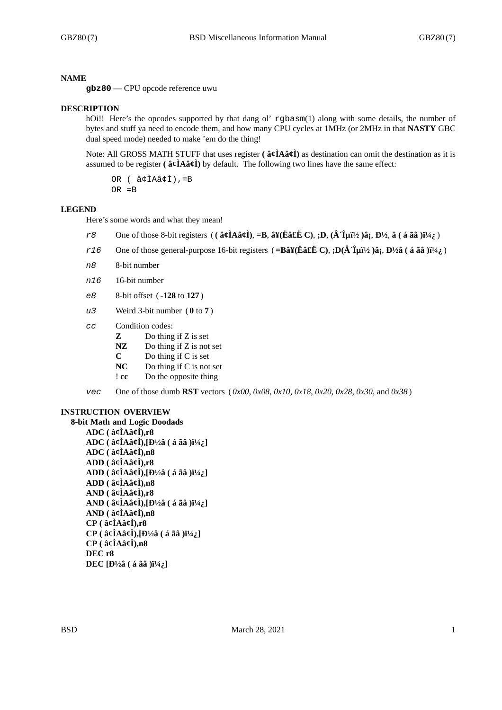#### **NAME**

**gbz80** — CPU opcode reference uwu

#### **DESCRIPTION**

hOi!! Here's the opcodes supported by that dang ol' rgbasm(1) along with some details, the number of bytes and stuff ya need to encode them, and how many CPU cycles at 1MHz (or 2MHz in that **NASTY** GBC dual speed mode) needed to make 'em do the thing!

Note: All GROSS MATH STUFF that uses register **( â¢ÌAâ¢Ì)** as destination can omit the destination as it is assumed to be register **( â¢ÌAâ¢Ì)** by default. The following two lines have the same effect:

OR ( â¢ÌAâ¢Ì),=B OR =B

#### **LEGEND**

Here's some words and what they mean!

- *r8* One of those 8-bit registers (( $\hat{a}$  $\hat{\ell}$ **A** $\hat{a}$  $\hat{\ell}$ **I**),  $=$ **B**,  $\hat{a}$ ¥( $\tilde{E}$  $\hat{a}$ £**E** $\tilde{E}$ C),  $;$ **D**,  $(\hat{A}$  $\hat{T}$  $\mu$ **i** $\frac{1}{2}$  $\hat{a}$  $\tilde{a}$ ,  $(\hat{a}$  $\tilde{a}$  $\tilde{a}$  $\tilde{a}$  $\tilde{b}$  $\tilde{a}$
- $r16$  One of those general-purpose 16-bit registers (=Bâ¥(Ëâ£Ë C), **;D**( $\hat{A}$   $\hat{I}$ 拫 )â;  $B\frac{1}{2}$  (á ãâ )i<sup>1</sup>/<sub>4</sub>; )
- *n8* 8-bit number
- *n16* 16-bit number
- *e8* 8-bit offset ( **-128** to **127** )
- *u3* Weird 3-bit number ( **0** to **7** )
- *cc* Condition codes:
	- **Z** Do thing if Z is set
	- **NZ** Do thing if Z is not set
	- **C** Do thing if C is set
	- **NC** Do thing if C is not set
	- ! **cc** Do the opposite thing
- *vec* One of those dumb **RST** vectors ( *0x00*, *0x08*, *0x10*, *0x18*, *0x20*, *0x28*, *0x30*, and *0x38* )

#### **INSTRUCTION OVERVIEW**

**8-bit Math and Logic Doodads ADC ( â¢ÌAâ¢Ì),r8 ADC** ( $\hat{a}$ ¢ÌAâ¢Ì),[Đ½â ( $\hat{a}$  ãâ ) $i\frac{1}{4}$ ] **ADC ( â¢ÌAâ¢Ì),n8 ADD ( â¢ÌAâ¢Ì),r8 ADD** ( $\hat{a}$ **¢ÌA** $\hat{a}$ **¢Ì**), $[b\frac{1}{2}\hat{a}$  ( $\hat{a}$   $\tilde{a}$  $\hat{a}$  ) $i\frac{1}{4}$ ; **ADD ( â¢ÌAâ¢Ì),n8 AND ( â¢ÌAâ¢Ì),r8 AND** ( $\hat{a}$  $\hat{\alpha}$ **I** $A\hat{a}$  $\hat{\alpha}$ **I**),  $[b\frac{1}{2}\hat{a}$  ( $\hat{a}$   $\hat{a}$  $\hat{a}$  ) $i\frac{1}{4}$ **AND ( â¢ÌAâ¢Ì),n8 CP ( â¢ÌAâ¢Ì),r8**  $CP$  ( $\hat{a}$ **¢ÌAâ¢Ì**), $[D\frac{1}{2}\hat{a}$  ( $\hat{a}$  ãâ ) $i\frac{1}{4}$ ; **CP ( â¢ÌAâ¢Ì),n8 DEC r8 DEC** [**D**<sup>1</sup>/<sub>2</sub>**â** ( **á** ãâ ) $i^{1/4}$ *i*,]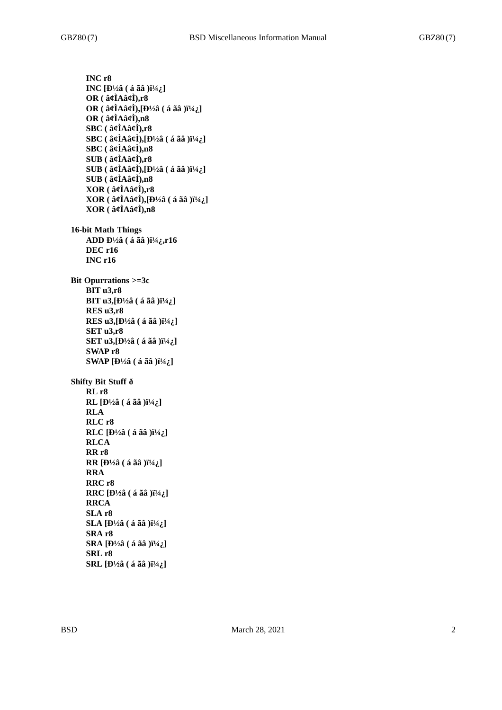**INC r8 INC**  $[D\frac{1}{2}$ â ( á ãâ ) $i\frac{1}{4}$ ] **OR ( â¢ÌAâ¢Ì),r8**  $OR$  ( $\hat{a}$  $\hat{\alpha}$ **l** $A\hat{a}$  $\hat{\alpha}$ **l**), $[**b**$ <sup>1</sup>/<sub>2</sub> $\hat{a}$  ( $\hat{a}$  $\hat{a}$  $\hat{a}$ ) $[<sup>1/4</sup>$ <sub>i</sub> $\hat{a}$ ] **OR ( â¢ÌAâ¢Ì),n8 SBC ( â¢ÌAâ¢Ì),r8**  $SBC$  ( $\hat{a}\hat{g}$ *l*A $\hat{a}\hat{g}$ *l*), $[b\frac{1}{2}\hat{a}$  ( $\hat{a}$   $\tilde{a}$  $\hat{a}$  ) $i\frac{1}{4}$ **SBC ( â¢ÌAâ¢Ì),n8 SUB ( â¢ÌAâ¢Ì),r8 SUB** ( $\hat{a}$ ¢ÌAâ¢Ì),[Đ½â (á ãâ )ï¼ $_i$ ] **SUB ( â¢ÌAâ¢Ì),n8 XOR ( â¢ÌAâ¢Ì),r8**  $XOR$  ( $\hat{a}$  $\hat{\alpha}$ **)** $\hat{A}$  $\hat{\alpha}$  $\hat{\alpha}$ **)** $\hat{B}$  $\hat{A}$  $\hat{C}$  $\hat{C}$  ( $\hat{a}$  $\hat{a}$  $\hat{a}$  $\hat{B}$  $\hat{B}$  $\hat{C}$  $\hat{A}$  $\hat{C}$  $\hat{A}$ **XOR ( â¢ÌAâ¢Ì),n8 16-bit Math Things ADD Đ½â** (á ãâ )ï¼;,r16 **DEC r16 INC r16 Bit Opurrations >=3c BIT u3,r8 BIT u3, [Đ½â** ( á ãâ ) $i^{1}/4$ ; ] **RES u3,r8 RES** u3,  $[\frac{1}{2}a($  á ãâ  $)i^{1/4}i$ .] **SET u3,r8 SET u3, [Đ½â** (á ãâ )i½; ] **SWAP r8 SWAP**  $[\frac{D^{1/2}\hat{a}}{(\hat{a} \, \tilde{a} \, \tilde{a})}\]^{1/4}\hat{a}$ **Shifty Bit Stuff ð RL r8 RL**  $[D\frac{1}{2}$ â ( á ãâ ) $\frac{1}{4}$ ;] **RLA RLC r8 RLC**  $[D\frac{1}{2}$ â ( á ãâ ) $i\frac{1}{4}$ ] **RLCA RR r8 RR** [Đ½â (á ãâ )ソ] **RRA RRC r8 RRC** [Đ½â ( á ãâ )\_] **RRCA SLA r8 SLA** [**Đ**½â ( á ãâ )\_] **SRA r8 SRA**  $[\frac{1}{2}$  $($ á ãâ  $)\frac{1}{4}$ **SRL r8 SRL** [Đ½â ( á ãâ )\_]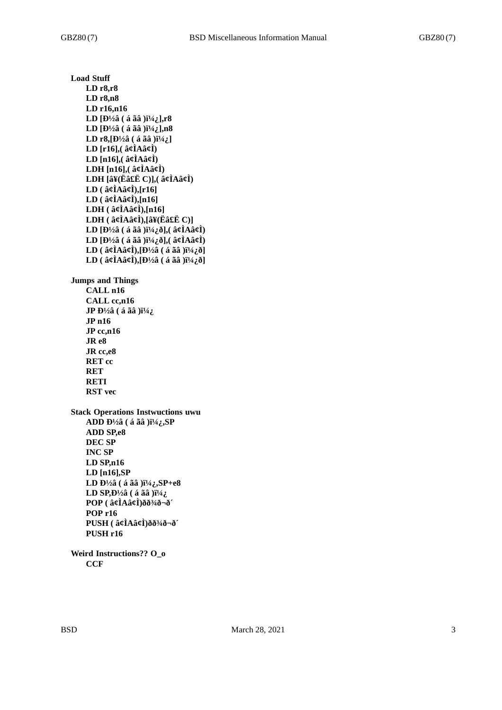**Load Stuff LD r8,r8 LD r8,n8 LD r16,n16** LD [Đ½â (á ãâ )\_],r8 **LD**  $[D\frac{1}{2}$  $($  á ãâ  $)$  $i\frac{1}{4}$  $($ ],n8 **LD r8, [Đ½â** (á ãâ ) $i^{1}/4$ ; ] **LD [r16],( â¢ÌAâ¢Ì) LD [n16],( â¢ÌAâ¢Ì) LDH [n16],( â¢ÌAâ¢Ì) LDH [â¥(Ëâ£Ë C)],( â¢ÌAâ¢Ì) LD ( â¢ÌAâ¢Ì),[r16] LD ( â¢ÌAâ¢Ì),[n16] LDH ( â¢ÌAâ¢Ì),[n16] LDH ( â¢ÌAâ¢Ì),[â¥(Ëâ£Ë C)] LD**  $[D<sup>1</sup>/2\hat{a}$  ( á ãâ ) $i<sup>1</sup>/4\hat{c}$  $\delta$ ], ( $\hat{a}\hat{\beta}$ **A** $\hat{a}\hat{\beta}$ **)** LD [Đ½â ( á ãâ )\_ð],( â¢ÌAâ¢Ì)  $LD$  ( $\hat{a}$  $\hat{\alpha}$ l $\hat{A}$  $\hat{\alpha}$  $\hat{\alpha}$ ), $[D^{1/2}\hat{a}$  ( $\hat{a}$   $\tilde{a}$  $\hat{a}$ ) $]$  $[1/4\hat{a}$  $\hat{0}]$  $LD$  ( $\hat{a}$  $\hat{\alpha}$ **l** $\hat{A}$  $\hat{\alpha}$ **l** $\hat{\beta}$ ],  $[D^{1/2}\hat{a}$  ( $\hat{a}$   $\hat{a}$  $\hat{a}$ ) $]$  $[\hat{a}$  $\hat{b}$  $\hat{d}$ ] **Jumps and Things CALL n16 CALL cc,n16 JP** Đ½â (á ãâ )i½; **JP n16 JP cc,n16 JR e8 JR cc,e8 RET cc RET RETI RST vec Stack Operations Instwuctions uwu ADD Đ½â** (á ãâ )ï¼;,SP **ADD SP,e8 DEC SP INC SP LD SP,n16 LD [n16],SP LD**  $\frac{D^{1/2}\hat{a}}{(\hat{a} \; \tilde{a} \; \hat{a})}$   $\frac{N^{1/4}\hat{b}}{N^{1/4}}$ ,  $\frac{S}{P} + e8$ **LD SP, Đ<sup>1</sup>/<sub>2</sub>** $\hat{a}$  **( á ãâ )** $\ddot{a}$ **<sup>1</sup>/<sub>4</sub>** $\ddot{b}$ **POP ( â¢ÌAâ¢Ì)ðð¾ð¬ð´ POP r16 PUSH ( â¢ÌAâ¢Ì)ðð¾ð¬ð´ PUSH r16 Weird Instructions?? O\_o**

**CCF**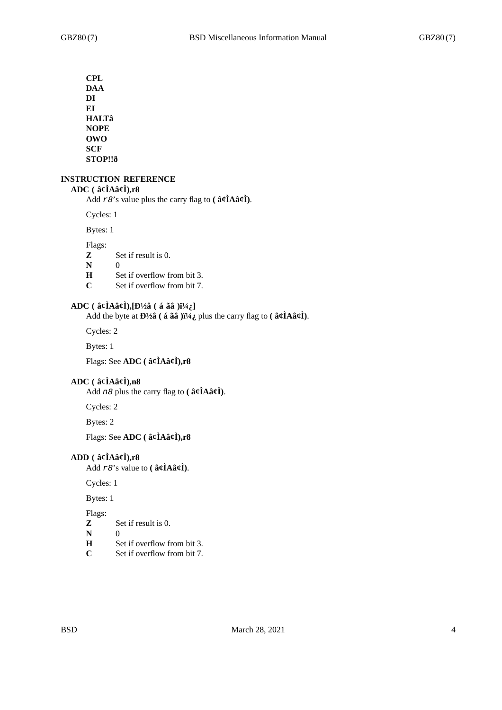**CPL DAA DI EI HALTâ NOPE OWO SCF STOP!!ð**

# **INSTRUCTION REFERENCE**

# **ADC ( â¢ÌAâ¢Ì),r8**

Add *r8*'s value plus the carry flag to **( â¢ÌAâ¢Ì)**.

Cycles: 1

Bytes: 1

Flags:

- **Z** Set if result is 0.
- **N** 0<br>**H** S
- Set if overflow from bit 3.
- **C** Set if overflow from bit 7.

# ADC ( $\hat{a}\hat{\beta}$ **A** $\hat{a}\hat{\beta}$ **)**,  $[b\frac{1}{2}\hat{a}$  ( $\hat{a}$   $\hat{a}\hat{a}$  ) $i\frac{1}{4}\hat{a}$ ]

Add the byte at  $\mathbf{D}^{1/2}\hat{\mathbf{a}}$  ( **á ãâ** ) $\mathbf{i}^{1/4}\hat{\mathbf{c}}$  plus the carry flag to (  $\hat{\mathbf{a}}\hat{\mathbf{c}}\hat{\mathbf{I}}$ **A** $\hat{\mathbf{a}}\hat{\mathbf{c}}\hat{\mathbf{I}}$ ).

Cycles: 2

Bytes: 1

Flags: See **ADC ( â¢ÌAâ¢Ì),r8**

### **ADC ( â¢ÌAâ¢Ì),n8**

Add *n8* plus the carry flag to **( â¢ÌAâ¢Ì)**.

Cycles: 2

Bytes: 2

Flags: See **ADC ( â¢ÌAâ¢Ì),r8**

# **ADD ( â¢ÌAâ¢Ì),r8**

Add *r8*'s value to **( â¢ÌAâ¢Ì)**.

Cycles: 1

Bytes: 1

Flags:

- **Z** Set if result is 0.
- **N** 0<br>**H** S
- Set if overflow from bit 3.
- **C** Set if overflow from bit 7.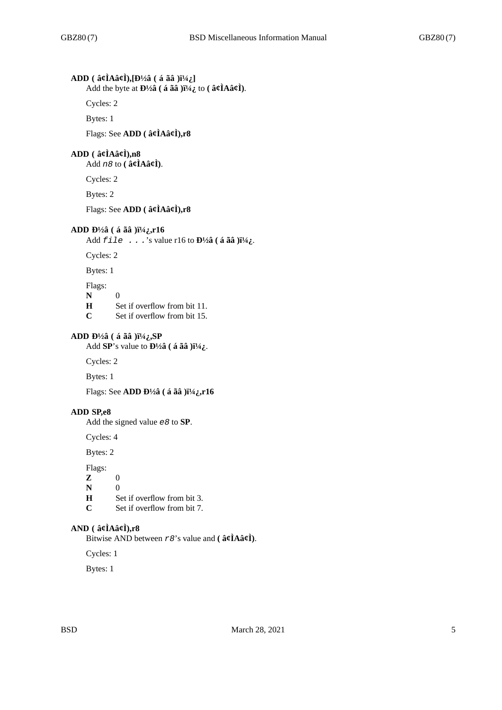# **ADD** ( $\hat{a}$ ¢ÌAâ¢Ì),[Đ½â (á ãâ )\_]

Add the byte at  $\frac{D\frac{1}{2}a}{\hat{a}}$  (**á** ãâ ) $\frac{a}{2}$  to ( $\hat{a}$ *¢* $\hat{I}$ Aâ*¢* $\hat{I}$ ).

Cycles: 2

Bytes: 1

Flags: See **ADD ( â¢ÌAâ¢Ì),r8**

# **ADD ( â¢ÌAâ¢Ì),n8**

Add *n8* to **( â¢ÌAâ¢Ì)**.

Cycles: 2

Bytes: 2

Flags: See **ADD ( â¢ÌAâ¢Ì),r8**

### **ADD Đ½â** (á ãâ )ï¼;,r16

Add  $\text{file}$  . . . 's value r16 to  $\mathbf{D}^{1/2}$ â (á ãâ ) $\ddot{\mathbf{i}}^{1/4}$ .

Cycles: 2

Bytes: 1

Flags:

**N** 0

**H** Set if overflow from bit 11.

**C** Set if overflow from bit 15.

# **ADD Đ½â** (á ãâ )ï¼; SP

Add **SP**'s value to  $\mathbf{D}^{1/2}\hat{\mathbf{a}}$  ( **á ãâ** ) $\mathbf{i}^{1/4}\mathbf{i}$ .

Cycles: 2

Bytes: 1

Flags: See **ADD** Đ<sup>1</sup>/2**â** ( á ãâ )i<sup>1</sup>/4*i*,r16

#### **ADD SP,e8**

Add the signed value *e8* to **SP**.

Cycles: 4

Bytes: 2

Flags:

- **Z** 0
- **N** 0

**H** Set if overflow from bit 3.<br>C Set if overflow from bit 7.

Set if overflow from bit 7.

# **AND ( â¢ÌAâ¢Ì),r8**

Bitwise AND between *r8*'s value and **( â¢ÌAâ¢Ì)**.

Cycles: 1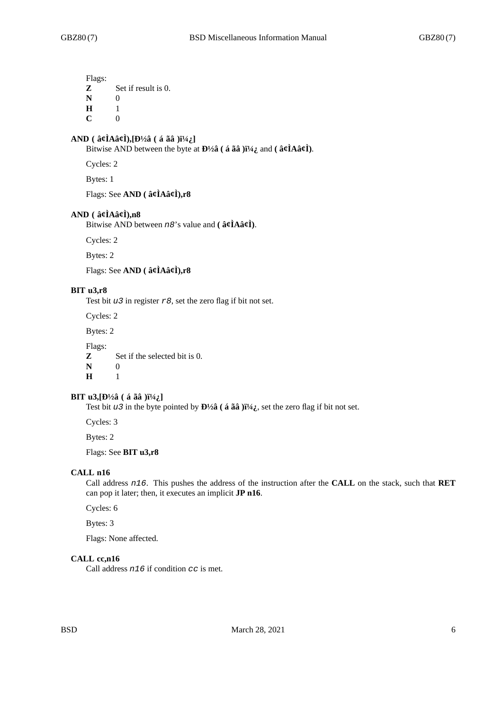Flags: **Z** Set if result is 0.

**N** 0

**H** 1

 $C = 0$ 

# **AND** ( $\hat{a}$  $\hat{\alpha}$ **I** $\hat{A}$  $\hat{\alpha}$ **i** $\hat{\beta}$ ),  $[\text{D}^{1}/2\hat{a}$  ( $\hat{a}$   $\hat{a}$  $\hat{a}$ ) $[\text{H}^{1}/4\hat{a}]$

Bitwise AND between the byte at  $\mathbf{D}^{1/2}\hat{\mathbf{a}}$  ( **á**  $\tilde{\mathbf{a}}\hat{\mathbf{a}}$  ) $\tilde{\mathbf{i}}^{1/4}\hat{\mathbf{i}}$  and ( $\hat{\mathbf{a}}\hat{\mathbf{c}}\hat{\mathbf{l}}$ **A** $\hat{\mathbf{a}}\hat{\mathbf{c}}\hat{\mathbf{l}}$ ).

Cycles: 2

Bytes: 1

Flags: See **AND ( â¢ÌAâ¢Ì),r8**

# **AND ( â¢ÌAâ¢Ì),n8**

Bitwise AND between *n8*'s value and **( â¢ÌAâ¢Ì)**.

Cycles: 2

Bytes: 2

Flags: See **AND ( â¢ÌAâ¢Ì),r8**

# **BIT u3,r8**

Test bit *u3* in register *r8*, set the zero flag if bit not set.

Cycles: 2

Bytes: 2

Flags: **Z** Set if the selected bit is 0.

**N** 0 **H** 1

# **BIT u3, [Đ½â** (á ãâ ) $i^{1}/4$ ; ]

Test bit *u3* in the byte pointed by  $\mathbf{D}^{1/2}\hat{\mathbf{a}}$  ( **á ãâ** ) $\ddot{\mathbf{i}}^{1/4}\hat{\mathbf{c}}$ , set the zero flag if bit not set.

Cycles: 3

Bytes: 2

Flags: See **BIT u3,r8**

# **CALL n16**

Call address *n16*. This pushes the address of the instruction after the **CALL** on the stack, such that **RET** can pop it later; then, it executes an implicit **JP n16**.

Cycles: 6

Bytes: 3

Flags: None affected.

### **CALL cc,n16**

Call address *n16* if condition *cc* is met.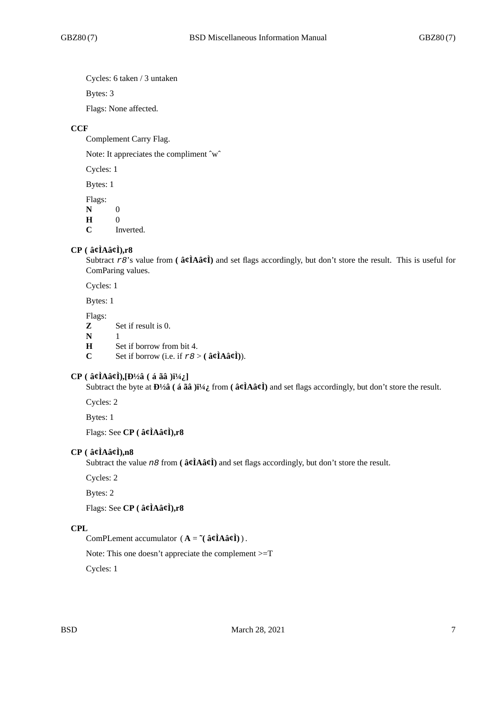Cycles: 6 taken / 3 untaken

Bytes: 3

Flags: None affected.

# **CCF**

Complement Carry Flag.

Note: It appreciates the compliment ˆwˆ

Cycles: 1

Bytes: 1

Flags:

**N** 0 **H** 0

**C** Inverted.

# **CP ( â¢ÌAâ¢Ì),r8**

Subtract *r8*'s value from **( â¢ÌAâ¢Ì)** and set flags accordingly, but don't store the result. This is useful for ComParing values.

Cycles: 1

Bytes: 1

Flags:

- **Z** Set if result is 0.
- **N** 1<br>**H** S
- **H** Set if borrow from bit 4.<br>C Set if borrow (i.e. if  $r \ge 8$ )
- Set if borrow (i.e. if  $r \theta > ($   $\hat{a} \hat{\rho} \hat{I} A \hat{a} \hat{\rho} \hat{I})$ ).

# **CP** ( $\hat{a}$ **¢Ì**Aâ¢Ì),[**Đ**½â ( $\hat{a}$  ãâ ) $i^{1}/i$ ;]

Subtract the byte at  $\mathbf{D}^{1/2} \hat{\mathbf{a}}$  ( $\hat{\mathbf{a}}$   $\hat{\mathbf{a}}$   $\hat{\mathbf{a}}$ ) $\hat{\mathbf{i}}^{1/4} \hat{\mathbf{i}}$  from ( $\hat{\mathbf{a}}$  $\hat{\mathbf{c}}$ ) and set flags accordingly, but don't store the result.

Cycles: 2

Bytes: 1

Flags: See **CP ( â¢ÌAâ¢Ì),r8**

# **CP ( â¢ÌAâ¢Ì),n8**

Subtract the value *n8* from **( â¢ÌAâ¢Ì)** and set flags accordingly, but don't store the result.

Cycles: 2

Bytes: 2

Flags: See **CP ( â¢ÌAâ¢Ì),r8**

# **CPL**

ComPLement accumulator  $(A = \tilde{C}(\hat{a}\hat{\rho}A\hat{a}\hat{\rho}A))$ .

Note: This one doesn't appreciate the complement >=T

Cycles: 1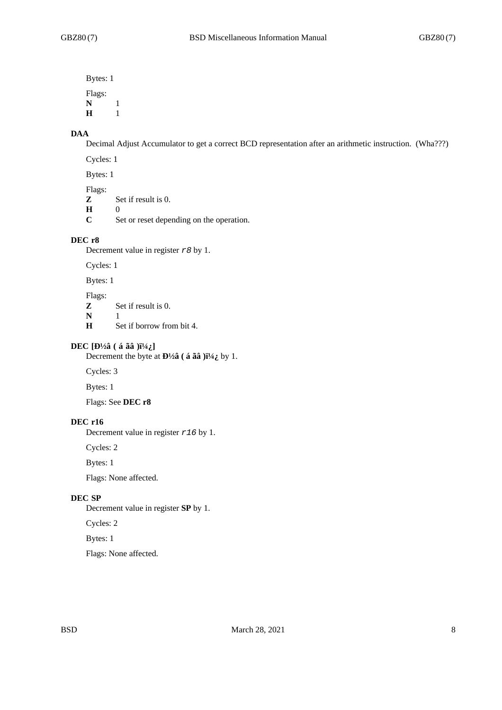Bytes: 1 Flags: **N** 1 **H** 1

# **DAA**

Decimal Adjust Accumulator to get a correct BCD representation after an arithmetic instruction. (Wha???)

Cycles: 1

Bytes: 1

Flags:

**Z** Set if result is 0.

**H** 0

**C** Set or reset depending on the operation.

### **DEC r8**

Decrement value in register *r8* by 1.

Cycles: 1

Bytes: 1

#### Flags:

**Z** Set if result is 0.

**N** 1<br>**H** S

Set if borrow from bit 4.

# **DEC**  $[D\frac{1}{2}$ â ( á ãâ ) $i\frac{1}{4}$ ]

Decrement the byte at **Đ**½**â** (**á ãâ** )**i**½**<sub>***i***</sub>, by 1.** 

Cycles: 3

Bytes: 1

Flags: See **DEC r8**

# **DEC r16**

Decrement value in register *r16* by 1.

Cycles: 2

Bytes: 1

Flags: None affected.

# **DEC SP**

Decrement value in register **SP** by 1.

Cycles: 2

Bytes: 1

Flags: None affected.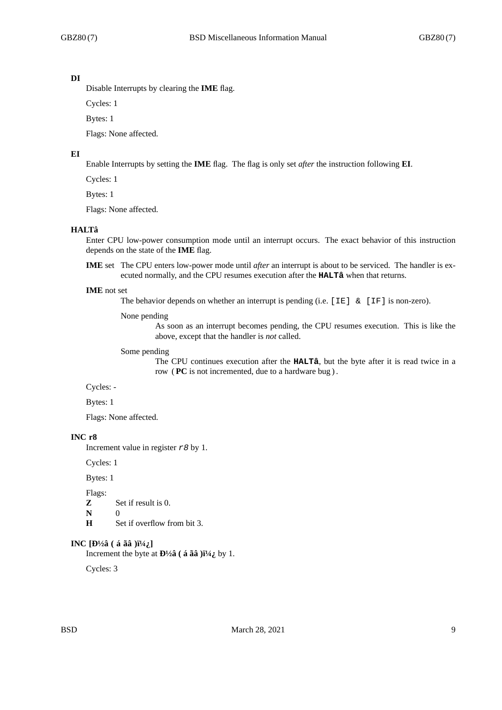#### **DI**

Disable Interrupts by clearing the **IME** flag.

Cycles: 1

Bytes: 1

Flags: None affected.

#### **EI**

Enable Interrupts by setting the **IME** flag. The flag is only set *after* the instruction following **EI**.

Cycles: 1

Bytes: 1

Flags: None affected.

#### **HALTâ**

Enter CPU low-power consumption mode until an interrupt occurs. The exact behavior of this instruction depends on the state of the **IME** flag.

**IME** set The CPU enters low-power mode until *after* an interrupt is about to be serviced. The handler is executed normally, and the CPU resumes execution after the **HALTâ** when that returns.

#### **IME** not set

The behavior depends on whether an interrupt is pending (i.e.  $[IE]$  &  $[IF]$  is non-zero).

#### None pending

As soon as an interrupt becomes pending, the CPU resumes execution. This is like the above, except that the handler is *not* called.

#### Some pending

The CPU continues execution after the **HALTâ**, but the byte after it is read twice in a row ( **PC** is not incremented, due to a hardware bug ) .

Cycles: -

Bytes: 1

Flags: None affected.

#### **INC r8**

Increment value in register *r8* by 1.

Cycles: 1

Bytes: 1

Flags:

- **Z** Set if result is 0.
- **N** 0
- **H** Set if overflow from bit 3.

### **INC**  $[D\frac{1}{2}$ â ( á ãâ ) $i\frac{1}{4}$ ]

Increment the byte at  $\mathbf{D}^{1}/2\hat{\mathbf{a}}$  (**á ãâ** ) $\ddot{\mathbf{i}}^{1}/4\ddot{\mathbf{j}}$  by 1.

Cycles: 3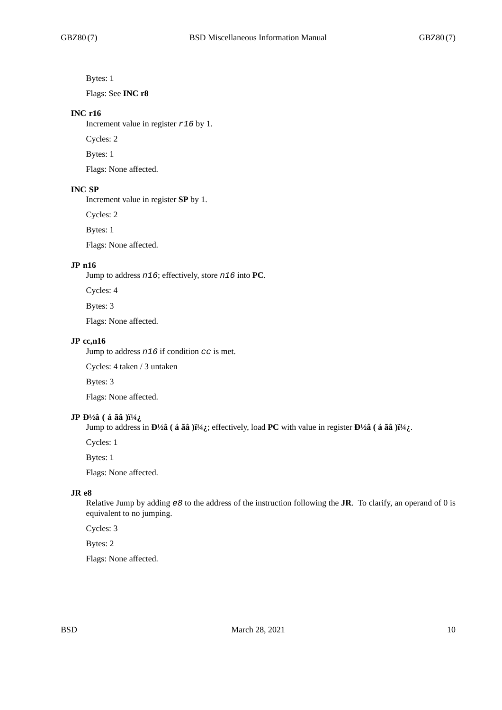Bytes: 1

Flags: See **INC r8**

#### **INC r16**

Increment value in register *r16* by 1.

Cycles: 2

Bytes: 1

Flags: None affected.

### **INC SP**

Increment value in register **SP** by 1.

Cycles: 2

Bytes: 1

Flags: None affected.

#### **JP n16**

Jump to address *n16*; effectively, store *n16* into **PC**.

Cycles: 4

Bytes: 3

Flags: None affected.

#### **JP cc,n16**

Jump to address *n16* if condition *cc* is met.

Cycles: 4 taken / 3 untaken

Bytes: 3

Flags: None affected.

#### **JP** Đ<sup>1</sup>/<sub>2</sub> $\hat{a}$  ( á ãâ ) $i^{1/4}i$

Jump to address in  $\mathbf{D}^{1/2}\hat{\mathbf{a}}$  ( **á ãâ** ) $\ddot{\mathbf{i}}^{1/4}\hat{\mathbf{c}}$ ; effectively, load **PC** with value in register  $\mathbf{D}^{1/2}\hat{\mathbf{a}}$  ( **á ãâ** ) $\ddot{\mathbf{i}}^{1/4}\hat{\mathbf{c}}$ .

Cycles: 1

Bytes: 1

Flags: None affected.

# **JR e8**

Relative Jump by adding *e8* to the address of the instruction following the **JR**. To clarify, an operand of 0 is equivalent to no jumping.

Cycles: 3

Bytes: 2

Flags: None affected.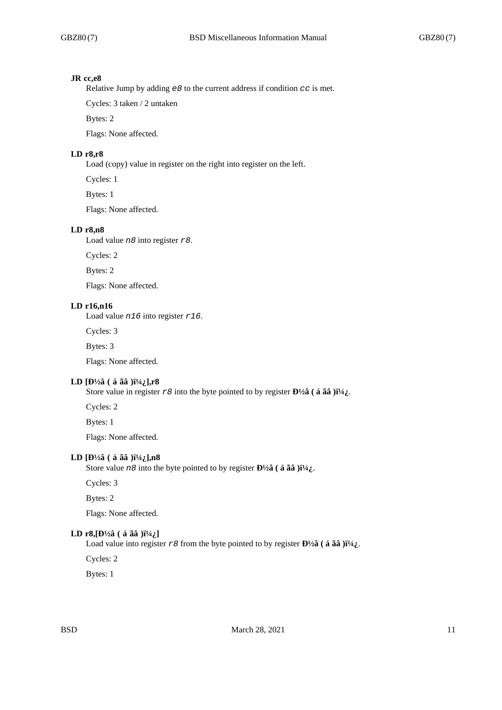### **JR cc,e8**

Relative Jump by adding *e8* to the current address if condition *cc* is met.

Cycles: 3 taken / 2 untaken

Bytes: 2

Flags: None affected.

# **LD r8,r8**

Load (copy) value in register on the right into register on the left.

Cycles: 1

Bytes: 1

Flags: None affected.

### **LD r8,n8**

Load value *n8* into register *r8*.

Cycles: 2

Bytes: 2

Flags: None affected.

# **LD r16,n16**

Load value *n16* into register *r16*.

Cycles: 3

Bytes: 3

Flags: None affected.

### LD [Đ½â (á ãâ )\_],r8

Store value in register  $r \theta$  into the byte pointed to by register  $\mathbf{D}^{1/2} \hat{\mathbf{a}}$  ( **á ãâ** ) $\ddot{\mathbf{i}}^{1/4} \dot{\mathbf{a}}$ .

Cycles: 2

Bytes: 1

Flags: None affected.

### **LD**  $[D\frac{1}{2}$  $($  á ãâ  $)$  $i\frac{1}{4}$  $($ ],n8

Store value  $n8$  into the byte pointed to by register  $\mathbf{D}^{1/2}$  $\hat{\mathbf{a}}$  ( $\hat{\mathbf{a}}$   $\hat{\mathbf{a}}$  $\hat{\mathbf{a}}$ ) $\hat{\mathbf{i}}^{1/4}$ .

Cycles: 3

Bytes: 2

Flags: None affected.

#### **LD** r8,  $[H_2^3($  (á ãâ ) $H_2^1$ ]

Load value into register  $r \theta$  from the byte pointed to by register  $\mathbf{D}^{1/2} \hat{\mathbf{a}}$  (**á ãâ** ) $\ddot{\mathbf{i}}^{1/4}$ .

Cycles: 2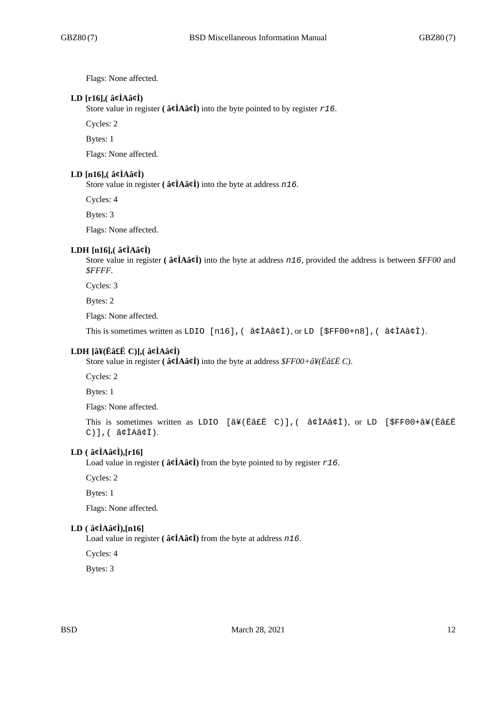Flags: None affected.

# **LD [r16],( â¢ÌAâ¢Ì)**

Store value in register ( $\hat{a}\hat{\ell}$ **A** $\hat{a}\hat{\ell}$ **)** into the byte pointed to by register  $r16$ .

Cycles: 2

Bytes: 1

Flags: None affected.

#### **LD [n16],( â¢ÌAâ¢Ì)**

Store value in register **( â¢ÌAâ¢Ì)** into the byte at address *n16*.

Cycles: 4

Bytes: 3

Flags: None affected.

#### **LDH [n16],( â¢ÌAâ¢Ì)**

Store value in register **( â¢ÌAâ¢Ì)** into the byte at address *n16*, provided the address is between *\$FF00* and *\$FFFF*.

Cycles: 3

Bytes: 2

Flags: None affected.

This is sometimes written as LDIO [n16],( â¢ÌAâ¢Ì), or LD [\$FF00+n8],( â¢ÌAâ¢Ì).

# **LDH [â¥(Ëâ£Ë C)],( â¢ÌAâ¢Ì)**

Store value in register **( â¢ÌAâ¢Ì)** into the byte at address *\$FF00+â¥(Ëâ£Ë C)*.

Cycles: 2

Bytes: 1

Flags: None affected.

This is sometimes written as LDIO [â¥(Ëâ£Ë C)],( â¢ÌAâ¢Ì), or LD [\$FF00+â¥(Ëâ£Ë C)],( â¢ÌAâ¢Ì).

# **LD ( â¢ÌAâ¢Ì),[r16]**

Load value in register ( $\hat{\mathbf{a}}\hat{\mathbf{c}}\hat{\mathbf{l}}$ **A** $\hat{\mathbf{a}}\hat{\mathbf{c}}\hat{\mathbf{l}}$ **)** from the byte pointed to by register  $r16$ .

Cycles: 2

Bytes: 1

Flags: None affected.

### **LD ( â¢ÌAâ¢Ì),[n16]**

Load value in register **( â¢ÌAâ¢Ì)** from the byte at address *n16*.

Cycles: 4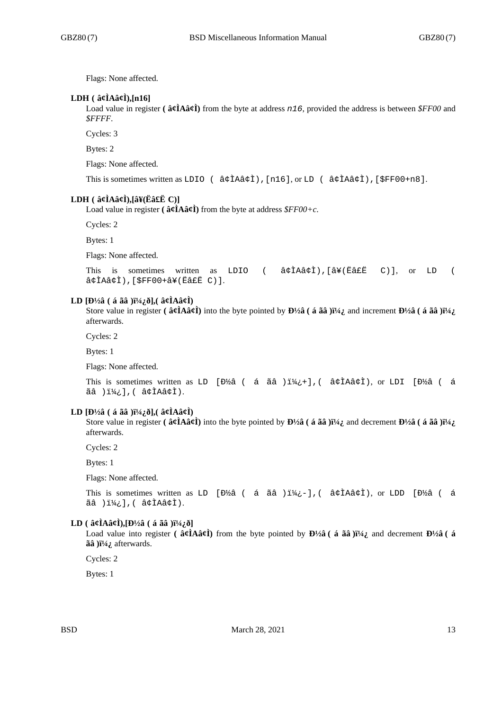Flags: None affected.

### **LDH ( â¢ÌAâ¢Ì),[n16]**

Load value in register **( â¢ÌAâ¢Ì)** from the byte at address *n16*, provided the address is between *\$FF00* and *\$FFFF*.

Cycles: 3

Bytes: 2

Flags: None affected.

```
This is sometimes written as LDIO ( â¢ÌAâ¢Ì),[n16], or LD ( â¢ÌAâ¢Ì),[$FF00+n8].
```
# **LDH ( â¢ÌAâ¢Ì),[â¥(Ëâ£Ë C)]**

Load value in register ( $\hat{a}\hat{\ell}$ **A** $\hat{a}\hat{\ell}$ **)** from the byte at address  $\hat{\ell}$ *FF00+c*.

Cycles: 2

Bytes: 1

Flags: None affected.

```
This is sometimes written as LDIO ( â¢ÌAâ¢Ì),[â¥(Ëâ£Ë C)], or LD (
â¢ÌAâ¢Ì),[$FF00+â¥(Ëâ£Ë C)].
```
#### **LD**  $[D\frac{1}{2}$  $\hat{a}$  ( á ã $\hat{a}$  ) $\frac{1}{4}$  $\hat{c}$  $\hat{d}$ ], (  $\hat{a}$  $\hat{c}$ **l** $\hat{a}$  $\hat{c}$ **l**)

Store value in register **(** $\hat{\bf{a}}\hat{\bf{g}}\hat{\bf{A}}\hat{\bf{a}}\hat{\bf{g}}\hat{\bf{l}}$ ) into the byte pointed by  ${\bf D}/2\hat{\bf a}$  ( $\hat{\bf{a}}\tilde{\bf{a}}\hat{\bf{a}}$ ) $\ddot{\bf{i}}/4\hat{\bf{i}}$  and increment  ${\bf D}/2\hat{\bf{a}}$  ( $\hat{\bf{a}}\tilde{\bf{a}}\hat{\bf{a}}$ ) $\ddot{\bf{i}}/4\$ afterwards.

Cycles: 2

Bytes: 1

Flags: None affected.

This is sometimes written as LD [Đ½â ( á ãâ ) $i\frac{1}{4}$ ; 1, ( â¢ÌAâ¢Ì), or LDI [Đ½â ( á ãâ )\_],( â¢ÌAâ¢Ì).

#### **LD**  $[D\frac{1}{2}$ â ( á ãâ ) $i\frac{1}{4}$ ; ð], ( â¢ÌAâ¢Ì)

Store value in register ( $\hat{a}$  $\hat{\alpha}$ **A** $\hat{a}$  $\hat{\alpha}$ **)** into the byte pointed by  $\mathbf{D}^{1/2}\hat{a}$  ( $\hat{a}$   $\tilde{a}$  $\hat{a}$ ) $\tilde{a}$  $\tilde{a}$ ) $\tilde{a}$  $\tilde{a}$ ) $\tilde{a}$  $\tilde{a}$ ) $\tilde{a}$ ) $\tilde{a}$  $\tilde{a}$ ) $\tilde{a}$ afterwards.

Cycles: 2

Bytes: 1

Flags: None affected.

This is sometimes written as LD [Đ½â ( á ãâ ) $i\nmid i$ ;-], ( â¢ÌAâ¢Ì), or LDD [Đ½â ( á  $\tilde{a}$  ) $i_{1/2}$ ], (  $\tilde{a}$  $\tilde{c}$ ) $\tilde{a}$  $\tilde{c}$ ).

## $LD$  ( $\hat{a}$ **c** $\hat{I}$ A $\hat{a}$ **c** $\hat{I}$ ), $[D\frac{1}{2}\hat{a}$  ( $\hat{a}$   $\hat{a}$  $\hat{a}$ ) $]$  $[\frac{1}{4}\hat{c}$

Load value into register ( $\hat{\mathbf{a}}\hat{\mathbf{c}}\hat{\mathbf{l}}$ **A** $\hat{\mathbf{a}}\hat{\mathbf{c}}\hat{\mathbf{l}}$ ) from the byte pointed by  $\mathbf{D}^{1/2}\hat{\mathbf{a}}$  ( $\hat{\mathbf{a}}\hat{\mathbf{a}}\hat{\mathbf{a}}$ ) $\hat{\mathbf{i}}^{1/4}$ , and decrement  $\mathbf{D}^{1/2}\hat{\mathbf{a}}$  ( $\hat{\mathbf{a}}$ ãâ )i<sup>1</sup>/<sub>4</sub> afterwards.

Cycles: 2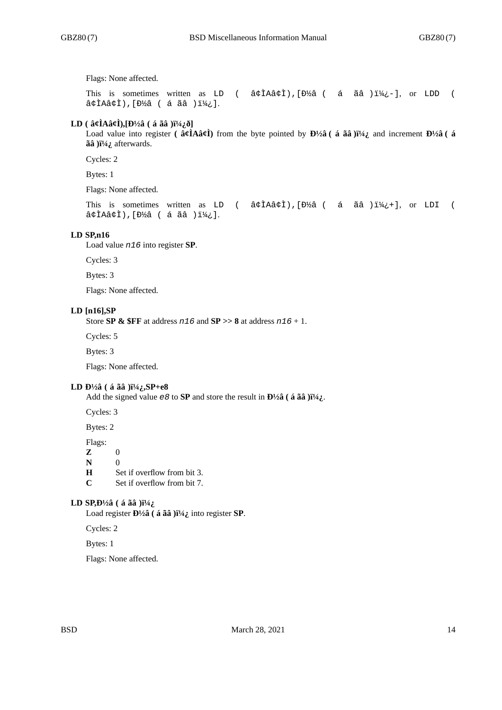Flags: None affected.

This is sometimes written as LD (  $\hat{a}\triangleleft\hat{a}\triangleleft\hat{i}$ ), [Đ½ $\hat{a}$  (  $\hat{a}$   $\hat{a}$   $\hat{a}$  ) $\hat{i}$ ½ $-$ ], or LDD (  $a$ ¢ÌAâ¢Ì), [Đ½â ( á ãâ )i¼¿].

# **LD** ( $\hat{a}$  $\hat{\alpha}$ **l** $\hat{A}$  $\hat{\alpha}$ *j***j** $\hat{B}$  $\hat{A}$  $\hat{B}$ **j** $\hat{B}$  $\hat{C}$ **j** $\hat{C}$ **j** $\hat{B}$

Load value into register ( $\hat{a}\hat{\rho}$ **i**A $\hat{a}\hat{\rho}$ **i**) from the byte pointed by  $\mathbf{D}^{1/2}\hat{a}$  ( $\hat{a}$  and increment  $\mathbf{D}^{1/2}\hat{a}$  ( $\hat{a}$ ãâ ) i<sup>1</sup>/<sub>4</sub>; afterwards.

Cycles: 2

Bytes: 1

Flags: None affected.

This is sometimes written as LD (  $\hat{a}\hat{\prime}$ tha $\hat{\prime}$ thai (  $\hat{a}$  and  $\hat{a}$ ) $\hat{a}$   $\hat{a}$ ) $\hat{a}$  (  $\hat{a}$  and  $\hat{a}$ ) $\hat{a}$  (  $\hat{a}$  and  $\hat{a}$ )  $\hat{a}$  $\hat{a}$ ¢ÌAâ¢Ì),[Đ½â ( á ãâ )\_].

### **LD SP,n16**

Load value *n16* into register **SP**.

Cycles: 3

Bytes: 3

Flags: None affected.

#### **LD [n16],SP**

Store **SP & \$FF** at address *n16* and **SP >> 8** at address *n16* + 1.

Cycles: 5

Bytes: 3

Flags: None affected.

#### **LD**  $\frac{D^{1/2}\hat{a}}{(\hat{a} \ \tilde{a} \ \tilde{a})}$   $\frac{N^{1/4}\hat{a}}{N}$ ,  $\frac{S}{P} + e^8$

Add the signed value *e8* to **SP** and store the result in  $\mathbf{D}^1/\hat{\mathbf{a}}$  (**á ãâ** ) $\ddot{\mathbf{i}}/\mathbf{\hat{i}}$ .

Cycles: 3

Bytes: 2

Flags:

**Z** 0 **N** 0

**H** Set if overflow from bit 3.

**C** Set if overflow from bit 7.

### **LD SP, D**<sup>1</sup>/<sub>2</sub> $\hat{a}$  ( á ãâ ) $\hat{i}$ <sup>1</sup>/<sub>4</sub> $\hat{i}$

Load register  $\mathbf{D}^{1/2} \hat{\mathbf{a}}$  (**á ãâ** ) $\mathbf{i}^{1/4} \hat{\mathbf{i}}$  into register **SP**.

Cycles: 2

Bytes: 1

Flags: None affected.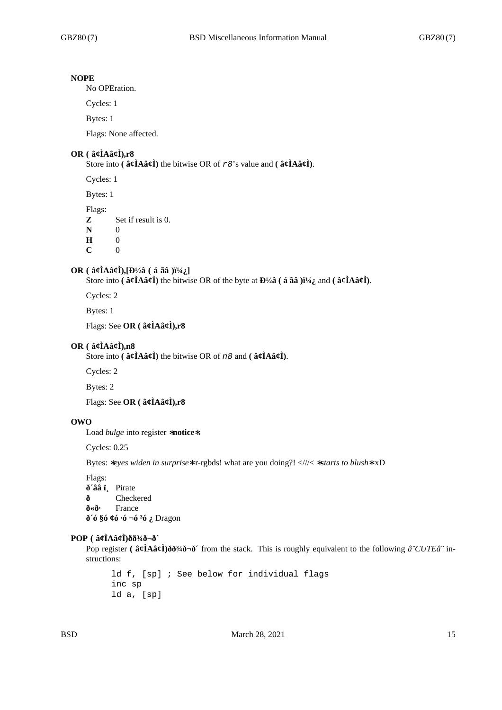#### **NOPE**

No OPEration.

Cycles: 1

Bytes: 1

Flags: None affected.

## **OR ( â¢ÌAâ¢Ì),r8**

Store into **( â¢ÌAâ¢Ì)** the bitwise OR of *r8*'s value and **( â¢ÌAâ¢Ì)**.

Cycles: 1

Bytes: 1

Flags:

**Z** Set if result is 0.

**N** 0

**H** 0

**C** 0

### **OR** ( $\hat{a}$ **¢ÌAâ¢Ì),[Đ½â** ( $\hat{a}$  ãâ )ï¼ $_i$ ]

Store into  $(\hat{a}\hat{\ell} \hat{A} \hat{a}\hat{\ell})$  the bitwise OR of the byte at  $\frac{D}{2}$   $(\hat{a} \tilde{a} \tilde{a})$   $\frac{N}{4}$  and  $(\hat{a}\hat{\ell} \hat{A} \hat{a}\hat{\ell})$ .

Cycles: 2

Bytes: 1

Flags: See **OR ( â¢ÌAâ¢Ì),r8**

#### **OR ( â¢ÌAâ¢Ì),n8**

Store into **( â¢ÌAâ¢Ì)** the bitwise OR of *n8* and **( â¢ÌAâ¢Ì)**.

Cycles: 2

Bytes: 2

Flags: See **OR ( â¢ÌAâ¢Ì),r8**

# **OWO**

Load *bulge* into register ∗**notice**∗.

Cycles: 0.25

Bytes: ∗*eyes widen in surprise*∗ r-rgbds! what are you doing?! <///< ∗*starts to blush*∗ xD

Flags: **ð´ââ ï¸** Pirate **ð** Checkered **ð«ð·** France **ð´ó §ó ¢ó ·ó ¬ó ³ó ¿** Dragon

#### **POP ( â¢ÌAâ¢Ì)ðð¾ð¬ð´**

Pop register **( â¢ÌAâ¢Ì)ðð¾ð¬ð**´ from the stack. This is roughly equivalent to the following *â*¨CUTE⨠instructions:

ld f, [sp] ; See below for individual flags inc sp ld a, [sp]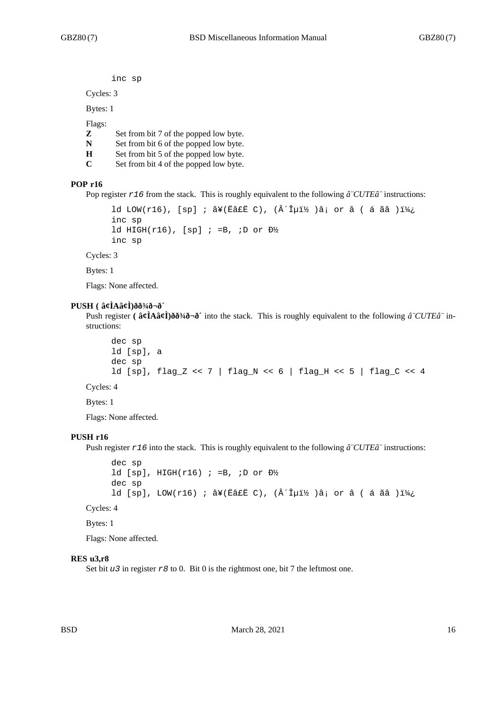```
inc sp
```
Cycles: 3

Bytes: 1

Flags:

- **Z** Set from bit 7 of the popped low byte.
- **N** Set from bit 6 of the popped low byte.
- **H** Set from bit 5 of the popped low byte.
- **C** Set from bit 4 of the popped low byte.

### **POP r16**

Pop register *r16* from the stack. This is roughly equivalent to the following *â¨CUTEâ¨* instructions:

```
ld LOW(r16), [sp] ; â¥(Ëâ£Ë C), (´Îµï½ )â; or â ( á ãâ )_
inc sp
ld HIGH(r16), [sp] i = B, iD or D\frac{1}{2}inc sp
```
Cycles: 3

Bytes: 1

Flags: None affected.

### **PUSH ( â¢ÌAâ¢Ì)ðð¾ð¬ð´**

Push register **( â¢ÌAâ¢Ì)ðð¾ð¬ð´** into the stack. This is roughly equivalent to the following *â¨CUTEâ¨* instructions:

```
dec sp
ld [sp], a
dec sp
ld [sp], flag_Z << 7 | flag_N << 6 | flag_H << 5 | flag_C << 4
```
Cycles: 4

Bytes: 1

Flags: None affected.

#### **PUSH r16**

Push register *r16* into the stack. This is roughly equivalent to the following *â¨CUTEâ¨* instructions:

```
dec sp
ld [sp], HIGH(r16) ; =B, ;D or D\frac{1}{2}dec sp
ld [sp], LOW(r16) ; â¥(Ëâ£Ë C), (´Îµï½ )â; or â ( á ãâ )_
```
Cycles: 4

Bytes: 1

Flags: None affected.

#### **RES u3,r8**

Set bit *u3* in register *r8* to 0. Bit 0 is the rightmost one, bit 7 the leftmost one.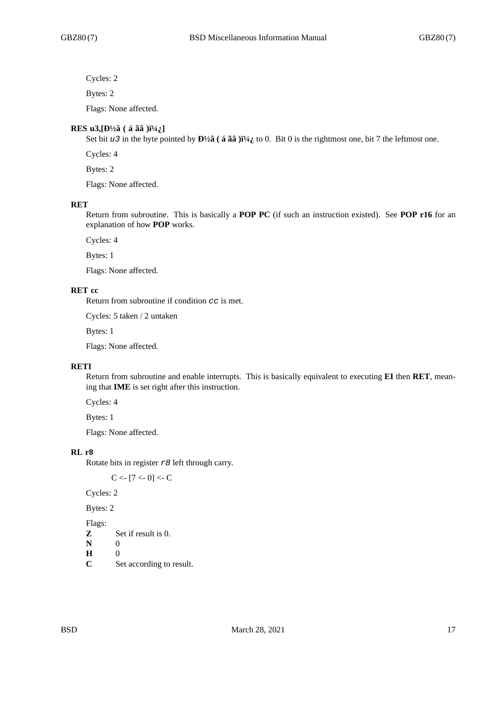Cycles: 2

Bytes: 2

Flags: None affected.

### **RES** u3,  $[b\frac{1}{2}a($  á ãâ  $)i\frac{1}{4}i$

Set bit *u3* in the byte pointed by  $\mathbf{D}^{1/2}\hat{\mathbf{a}}$  ( **á ãâ** )<sup> $1/4$ </sup> to 0. Bit 0 is the rightmost one, bit 7 the leftmost one.

Cycles: 4

Bytes: 2

Flags: None affected.

#### **RET**

Return from subroutine. This is basically a **POP PC** (if such an instruction existed). See **POP r16** for an explanation of how **POP** works.

Cycles: 4

Bytes: 1

Flags: None affected.

# **RET cc**

Return from subroutine if condition *cc* is met.

Cycles: 5 taken / 2 untaken

Bytes: 1

Flags: None affected.

# **RETI**

Return from subroutine and enable interrupts. This is basically equivalent to executing **EI** then **RET**, meaning that **IME** is set right after this instruction.

Cycles: 4

Bytes: 1

Flags: None affected.

### **RL r8**

Rotate bits in register *r8* left through carry.

 $C < -17 < -0$ ] <- C

Cycles: 2

Bytes: 2

Flags:

- **Z** Set if result is 0.
- **N** 0
- **H** 0
- **C** Set according to result.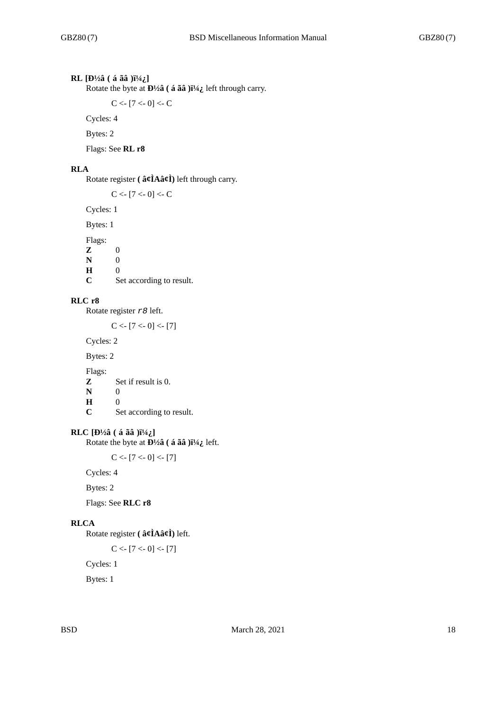# **RL** [Đ½â ( á ãâ )i½;]

Rotate the byte at  $\frac{D\frac{1}{2}}{a}$  (**á ãâ** ) $\frac{1}{4}$  left through carry.

 $C < [7 < 0] < C$ 

Cycles: 4

Bytes: 2

Flags: See **RL r8**

### **RLA**

Rotate register **( â¢ÌAâ¢Ì)** left through carry.

 $C < [7 < 0] < C$ 

Cycles: 1

Bytes: 1

Flags:

**Z** 0 **N** 0 **H** 0<br>**C** S

Set according to result.

# **RLC r8**

Rotate register *r8* left.

 $C < [7 < 0] < [7]$ 

Cycles: 2

Bytes: 2

Flags:

**Z** Set if result is 0.<br> $N$  0

- $\mathbf N$
- **H** 0

**C** Set according to result.

# **RLC**  $[D\frac{1}{2}$ â ( á ãâ ) $i\frac{1}{4}$ ]

Rotate the byte at **Đ**½**â** (**á ãâ** )**i**½**;** left.

 $C < [7 < 0] < [7]$ 

Cycles: 4

Bytes: 2

Flags: See **RLC r8**

# **RLCA**

Rotate register **( â¢ÌAâ¢Ì)** left.

 $C < [7 < 0] < [7]$ 

Cycles: 1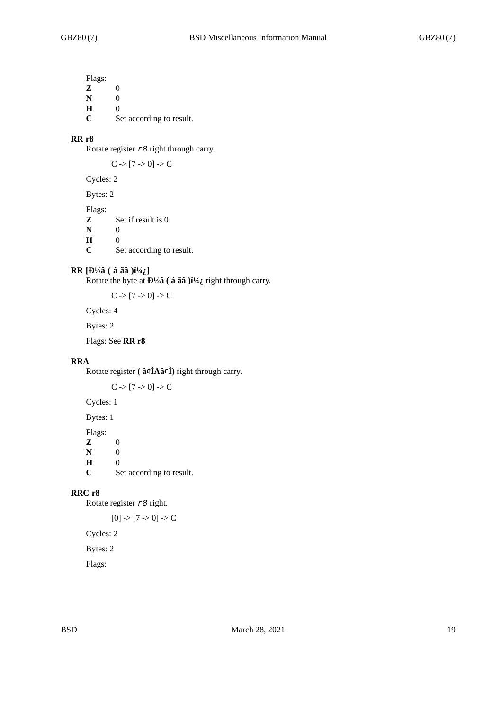Flags: **Z** 0 **N** 0

**H** 0 **C** Set according to result.

### **RR r8**

Rotate register *r8* right through carry.

 $C > [7 > 0] > C$ 

Cycles: 2

Bytes: 2

Flags:

**Z** Set if result is 0.

**N** 0<br>**H** 0

**H** 0

**C** Set according to result.

### **RR** [Đ½â ( á ãâ )i½ ]

Rotate the byte at **Đ**½**â** ( **á ãâ** )**ï**½*}* right through carry.

 $C > [7 > 0] > C$ 

Cycles: 4

Bytes: 2

Flags: See **RR r8**

# **RRA**

Rotate register **( â¢ÌAâ¢Ì)** right through carry.

 $C \rightarrow [7 \rightarrow 0] \rightarrow C$ 

Cycles: 1

Bytes: 1

Flags:

**Z** 0 **N** 0 **H** 0 **C** Set according to result.

### **RRC r8**

Rotate register *r8* right.

 $[0]$  ->  $[7$  -> 0] -> C

Cycles: 2

Bytes: 2

Flags: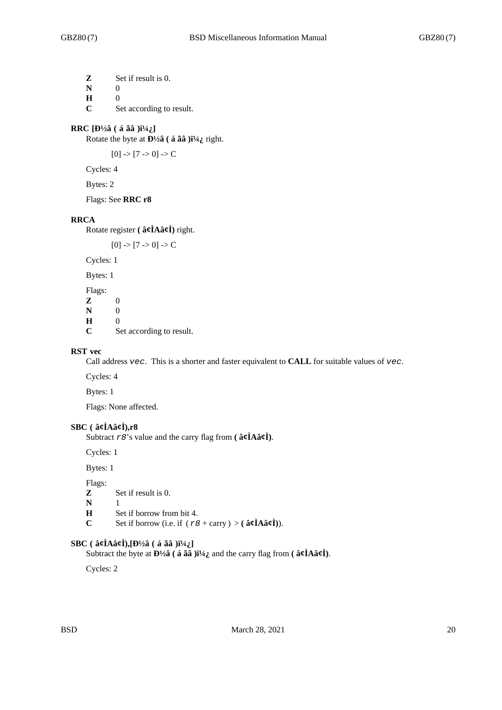**Z** Set if result is 0. **N** 0 **H** 0

**C** Set according to result.

# **RRC** [Đ½â ( á ãâ )\_]

Rotate the byte at **Đ**½**â** ( **á ãâ** )**i**½<sup></sup><sub>*i*</sub> right.

 $[0]$  ->  $[7$  -> 0] -> C

Cycles: 4

Bytes: 2

Flags: See **RRC r8**

### **RRCA**

Rotate register **( â¢ÌAâ¢Ì)** right.

 $[0]$  ->  $[7$  -> 0] -> C

Cycles: 1

Bytes: 1

Flags:  $\begin{bmatrix} \mathbf{Z} & 0 \\ \mathbf{N} & 0 \end{bmatrix}$ **N H** 0 **C** Set according to result.

#### **RST vec**

Call address *vec*. This is a shorter and faster equivalent to **CALL** for suitable values of *vec*.

Cycles: 4

Bytes: 1

Flags: None affected.

## **SBC ( â¢ÌAâ¢Ì),r8**

Subtract *r8*'s value and the carry flag from **( â¢ÌAâ¢Ì)**.

Cycles: 1

Bytes: 1

Flags:

```
Z Set if result is 0.
```
- **N** 1
- **H** Set if borrow from bit 4.
- **C** Set if borrow (i.e. if  $(r\theta + \text{carry}) > (\hat{\mathbf{a}}\hat{\mathbf{c}}\hat{\mathbf{I}}\hat{\mathbf{A}}\hat{\mathbf{a}}\hat{\mathbf{c}}\hat{\mathbf{I}})$ ).

### $SBC$  ( $\hat{a}\hat{\alpha}$ **i** $A\hat{a}\hat{\alpha}$ **i**), $[b\frac{1}{2}\hat{a}$  ( $\hat{a}\tilde{a}$ **a** ) $i\frac{1}{4}i$

Subtract the byte at  $\mathbf{D}^{1/2} \hat{\mathbf{a}}$  ( **á**  $\tilde{\mathbf{a}} \hat{\mathbf{a}}$  ) $\tilde{\mathbf{i}}^{1/4} \hat{\mathbf{a}}$ , and the carry flag from ( $\hat{\mathbf{a}} \hat{\mathbf{c}} \hat{\mathbf{i}} \mathbf{A} \hat{\mathbf{a}} \hat{\mathbf{c}} \hat{\mathbf{l}}$ ).

Cycles: 2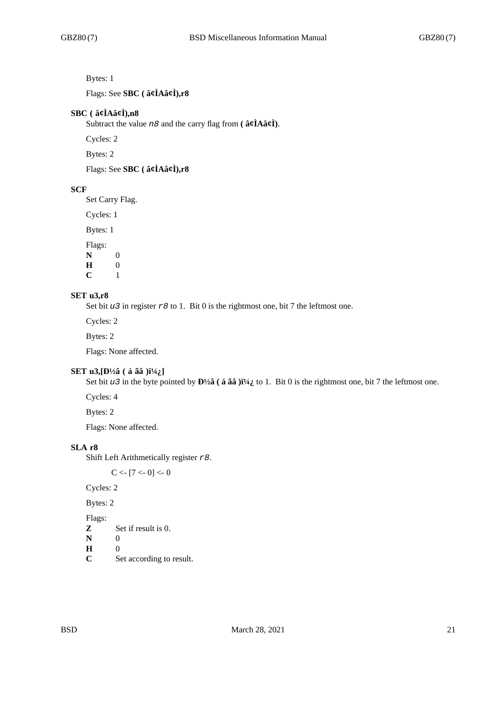# Bytes: 1

Flags: See **SBC ( â¢ÌAâ¢Ì),r8**

### **SBC ( â¢ÌAâ¢Ì),n8**

Subtract the value *n8* and the carry flag from **( â¢ÌAâ¢Ì)**.

Cycles: 2

Bytes: 2

Flags: See **SBC ( â¢ÌAâ¢Ì),r8**

# **SCF**

Set Carry Flag.

Cycles: 1

Bytes: 1

Flags:

**N** 0  $\begin{bmatrix} \mathbf{H} & 0 \\ \mathbf{C} & 1 \end{bmatrix}$  $\mathbf{C}$ 

### **SET u3,r8**

Set bit *u3* in register *r8* to 1. Bit 0 is the rightmost one, bit 7 the leftmost one.

Cycles: 2

Bytes: 2

Flags: None affected.

#### **SET u3, [Đ½â** (á ãâ ) $i^{1}/4$ ; ]

Set bit *u3* in the byte pointed by  $\frac{D\frac{1}{a}}{a}$  (**á ãâ** ) $\frac{1}{4}$  to 1. Bit 0 is the rightmost one, bit 7 the leftmost one.

Cycles: 4

Bytes: 2

Flags: None affected.

### **SLA r8**

Shift Left Arithmetically register *r8*.

 $C < [7 < 0] < 0$ 

Cycles: 2

Bytes: 2

Flags:

**Z** Set if result is 0.

**N** 0

- **H** 0
- **C** Set according to result.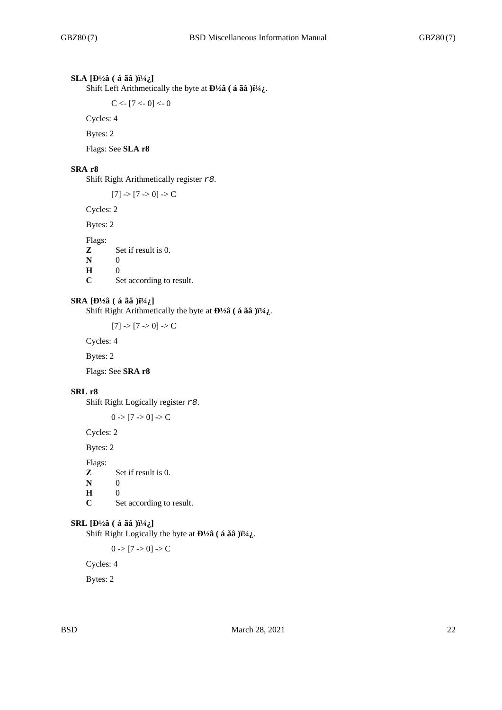# **SLA** [Đ½â ( á ãâ )i½¿]

Shift Left Arithmetically the byte at  $\mathbf{D}^{1/2}\hat{\mathbf{a}}$  (**á ãâ** ) $\mathbf{i}^{1/4}\hat{\mathbf{i}}$ .

 $C < -17 < 0 < 0$ 

Cycles: 4

Bytes: 2

Flags: See **SLA r8**

#### **SRA r8**

Shift Right Arithmetically register *r8*.

 $[7]$  ->  $[7$  -> 0] -> C

Cycles: 2

Bytes: 2

Flags:

**Z** Set if result is 0.

**N** 0

**H** 0

**C** Set according to result.

#### **SRA**  $[D\frac{1}{2}$ â ( á ãâ ) $i\frac{1}{4}$ ]

Shift Right Arithmetically the byte at  $\mathbf{D}^{1/2}\hat{\mathbf{a}}$  ( **á ãâ** ) $\mathbf{i}^{1/4}\hat{\mathbf{i}}$ .

 $[7]$  ->  $[7$  -> 0] -> C

Cycles: 4

Bytes: 2

Flags: See **SRA r8**

#### **SRL r8**

Shift Right Logically register *r8*.

 $0$  ->  $[7 -> 0]$  -> C

Cycles: 2

Bytes: 2

Flags:

**Z** Set if result is 0.

**N** 0<br>**H** 0

**H**  $\overline{C}$ 

Set according to result.

#### **SRL**  $[D\frac{1}{2}$ â ( á ãâ ) $i\frac{1}{4}$ ]

Shift Right Logically the byte at  $\mathbf{D}^{1/2}$  $\hat{\mathbf{a}}$  (**á ãâ** ) $\ddot{\mathbf{i}}^{1/4}$  $\ddot{\mathbf{i}}$ .

 $0 \rightarrow [7 \rightarrow 0] \rightarrow C$ 

Cycles: 4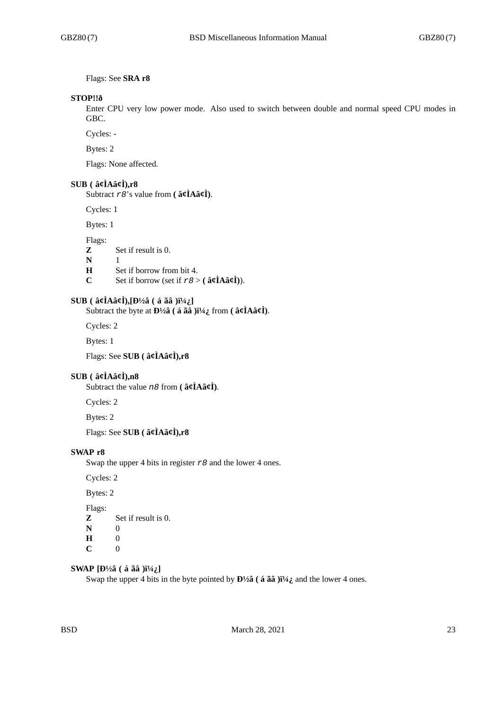Flags: See **SRA r8**

#### **STOP!!ð**

Enter CPU very low power mode. Also used to switch between double and normal speed CPU modes in GBC.

Cycles: -

Bytes: 2

Flags: None affected.

### **SUB ( â¢ÌAâ¢Ì),r8**

Subtract *r8*'s value from **( â¢ÌAâ¢Ì)**.

Cycles: 1

Bytes: 1

Flags:

- **Z** Set if result is 0.
- **N** 1
- **H** Set if borrow from bit 4.
- **C** Set if borrow (set if  $r\theta > ($   $\hat{a}\hat{\beta}$ **A** $\hat{a}\hat{\beta}$ **)**).

# **SUB** ( $\hat{a}$ **¢ÌAâ¢Ì)**,  $[\hat{D}^{1/2}\hat{a}$  ( $\hat{a}$   $\tilde{a}\hat{a}$  ) $\tilde{I}^{1/4}\hat{i}$ .]

Subtract the byte at  $\mathbf{D}^{1/2}\hat{\mathbf{a}}$  ( **á ãâ** ) $\mathbf{i}^{1/4}\hat{\mathbf{i}}$  from (  $\hat{\mathbf{a}}\hat{\mathbf{c}}\hat{\mathbf{l}}$ **Aâ¢** $\hat{\mathbf{l}}$ ).

Cycles: 2

Bytes: 1

Flags: See **SUB ( â¢ÌAâ¢Ì),r8**

### **SUB ( â¢ÌAâ¢Ì),n8**

Subtract the value *n8* from **( â¢ÌAâ¢Ì)**.

Cycles: 2

Bytes: 2

Flags: See **SUB ( â¢ÌAâ¢Ì),r8**

### **SWAP r8**

Swap the upper 4 bits in register *r8* and the lower 4 ones.

Cycles: 2

Bytes: 2

Flags:

- **Z** Set if result is 0.
- **N** 0
- **H** 0
- **C** 0

# **SWAP**  $[D\frac{1}{2}$ â ( á ãâ ) $i\frac{1}{4}$ ]

Swap the upper 4 bits in the byte pointed by  $\mathbf{D}^{1/2}\hat{\mathbf{a}}$  (**á ãâ** ) $\hat{\mathbf{i}}^{1/4}\hat{\mathbf{i}}$  and the lower 4 ones.